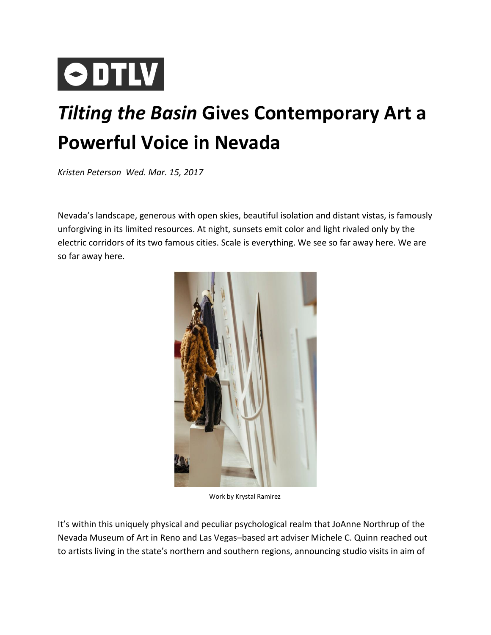## **ODTLV**

## *Tilting the Basin* **Gives Contemporary Art a Powerful Voice in Nevada**

*Kristen Peterson Wed. Mar. 15, 2017*

Nevada's landscape, generous with open skies, beautiful isolation and distant vistas, is famously unforgiving in its limited resources. At night, sunsets emit color and light rivaled only by the electric corridors of its two famous cities. Scale is everything. We see so far away here. We are so far away here.



Work by Krystal Ramirez

It's within this uniquely physical and peculiar psychological realm that JoAnne Northrup of the Nevada Museum of Art in Reno and Las Vegas–based art adviser Michele C. Quinn reached out to artists living in the state's northern and southern regions, announcing studio visits in aim of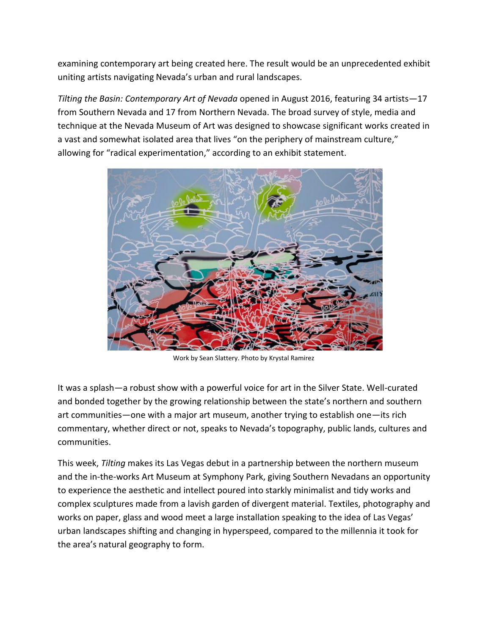examining contemporary art being created here. The result would be an unprecedented exhibit uniting artists navigating Nevada's urban and rural landscapes.

*Tilting the Basin: Contemporary Art of Nevada* opened in August 2016, featuring 34 artists—17 from Southern Nevada and 17 from Northern Nevada. The broad survey of style, media and technique at the Nevada Museum of Art was designed to showcase significant works created in a vast and somewhat isolated area that lives "on the periphery of mainstream culture," allowing for "radical experimentation," according to an exhibit statement.



Work by Sean Slattery. Photo by Krystal Ramirez

It was a splash—a robust show with a powerful voice for art in the Silver State. Well-curated and bonded together by the growing relationship between the state's northern and southern art communities—one with a major art museum, another trying to establish one—its rich commentary, whether direct or not, speaks to Nevada's topography, public lands, cultures and communities.

This week, *Tilting* makes its Las Vegas debut in a partnership between the northern museum and the in-the-works Art Museum at Symphony Park, giving Southern Nevadans an opportunity to experience the aesthetic and intellect poured into starkly minimalist and tidy works and complex sculptures made from a lavish garden of divergent material. Textiles, photography and works on paper, glass and wood meet a large installation speaking to the idea of Las Vegas' urban landscapes shifting and changing in hyperspeed, compared to the millennia it took for the area's natural geography to form.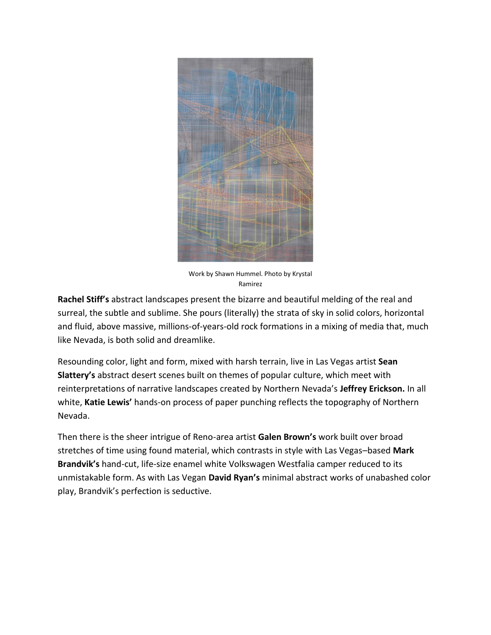

Work by Shawn Hummel. Photo by Krystal Ramirez

**Rachel Stiff's** abstract landscapes present the bizarre and beautiful melding of the real and surreal, the subtle and sublime. She pours (literally) the strata of sky in solid colors, horizontal and fluid, above massive, millions-of-years-old rock formations in a mixing of media that, much like Nevada, is both solid and dreamlike.

Resounding color, light and form, mixed with harsh terrain, live in Las Vegas artist **Sean Slattery's** abstract desert scenes built on themes of popular culture, which meet with reinterpretations of narrative landscapes created by Northern Nevada's **Jeffrey Erickson.** In all white, **Katie Lewis'** hands-on process of paper punching reflects the topography of Northern Nevada.

Then there is the sheer intrigue of Reno-area artist **Galen Brown's** work built over broad stretches of time using found material, which contrasts in style with Las Vegas–based **Mark Brandvik's** hand-cut, life-size enamel white Volkswagen Westfalia camper reduced to its unmistakable form. As with Las Vegan **David Ryan's** minimal abstract works of unabashed color play, Brandvik's perfection is seductive.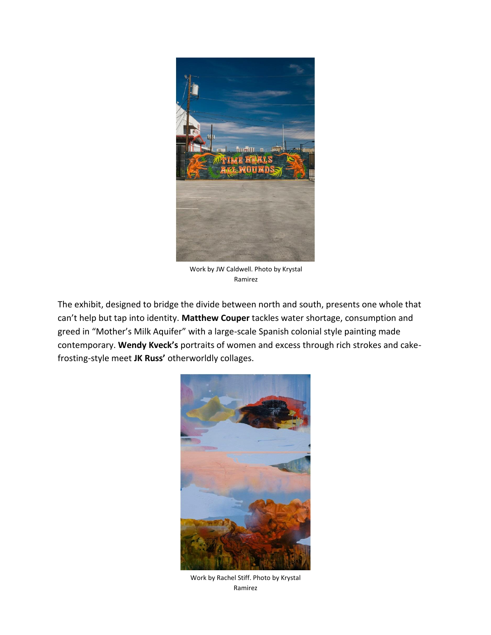

Work by JW Caldwell. Photo by Krystal Ramirez

The exhibit, designed to bridge the divide between north and south, presents one whole that can't help but tap into identity. **Matthew Couper** tackles water shortage, consumption and greed in "Mother's Milk Aquifer" with a large-scale Spanish colonial style painting made contemporary. **Wendy Kveck's** portraits of women and excess through rich strokes and cakefrosting-style meet **JK Russ'** otherworldly collages.



Work by Rachel Stiff. Photo by Krystal Ramirez